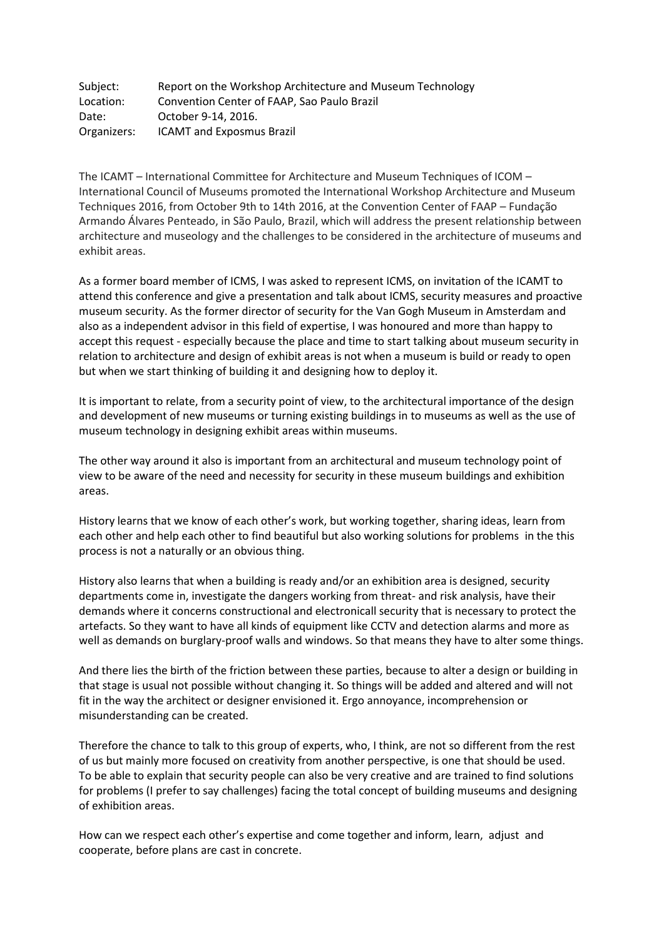| Subject:    | Report on the Workshop Architecture and Museum Technology |
|-------------|-----------------------------------------------------------|
| Location:   | Convention Center of FAAP, Sao Paulo Brazil               |
| Date:       | October 9-14, 2016.                                       |
| Organizers: | <b>ICAMT</b> and Exposmus Brazil                          |

The ICAMT – International Committee for Architecture and Museum Techniques of ICOM – International Council of Museums promoted the International Workshop Architecture and Museum Techniques 2016, from October 9th to 14th 2016, at the Convention Center of FAAP – Fundação Armando Álvares Penteado, in São Paulo, Brazil, which will address the present relationship between architecture and museology and the challenges to be considered in the architecture of museums and exhibit areas.

As a former board member of ICMS, I was asked to represent ICMS, on invitation of the ICAMT to attend this conference and give a presentation and talk about ICMS, security measures and proactive museum security. As the former director of security for the Van Gogh Museum in Amsterdam and also as a independent advisor in this field of expertise, I was honoured and more than happy to accept this request - especially because the place and time to start talking about museum security in relation to architecture and design of exhibit areas is not when a museum is build or ready to open but when we start thinking of building it and designing how to deploy it.

It is important to relate, from a security point of view, to the architectural importance of the design and development of new museums or turning existing buildings in to museums as well as the use of museum technology in designing exhibit areas within museums.

The other way around it also is important from an architectural and museum technology point of view to be aware of the need and necessity for security in these museum buildings and exhibition areas.

History learns that we know of each other's work, but working together, sharing ideas, learn from each other and help each other to find beautiful but also working solutions for problems in the this process is not a naturally or an obvious thing.

History also learns that when a building is ready and/or an exhibition area is designed, security departments come in, investigate the dangers working from threat- and risk analysis, have their demands where it concerns constructional and electronicall security that is necessary to protect the artefacts. So they want to have all kinds of equipment like CCTV and detection alarms and more as well as demands on burglary-proof walls and windows. So that means they have to alter some things.

And there lies the birth of the friction between these parties, because to alter a design or building in that stage is usual not possible without changing it. So things will be added and altered and will not fit in the way the architect or designer envisioned it. Ergo annoyance, incomprehension or misunderstanding can be created.

Therefore the chance to talk to this group of experts, who, I think, are not so different from the rest of us but mainly more focused on creativity from another perspective, is one that should be used. To be able to explain that security people can also be very creative and are trained to find solutions for problems (I prefer to say challenges) facing the total concept of building museums and designing of exhibition areas.

How can we respect each other's expertise and come together and inform, learn, adjust and cooperate, before plans are cast in concrete.